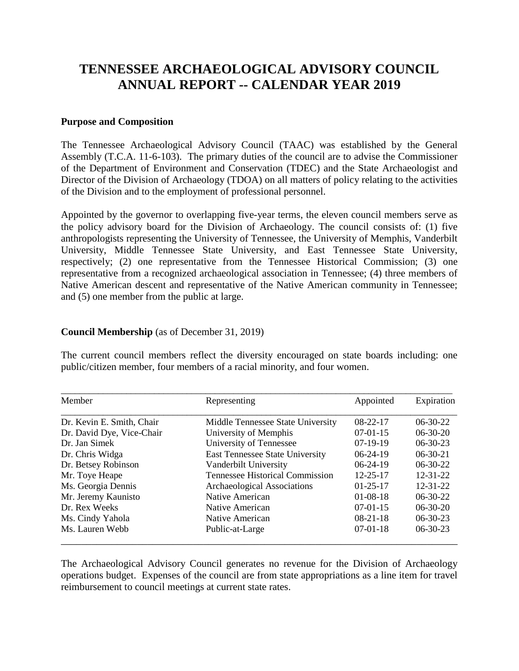# **TENNESSEE ARCHAEOLOGICAL ADVISORY COUNCIL ANNUAL REPORT -- CALENDAR YEAR 2019**

#### **Purpose and Composition**

The Tennessee Archaeological Advisory Council (TAAC) was established by the General Assembly (T.C.A. 11-6-103). The primary duties of the council are to advise the Commissioner of the Department of Environment and Conservation (TDEC) and the State Archaeologist and Director of the Division of Archaeology (TDOA) on all matters of policy relating to the activities of the Division and to the employment of professional personnel.

Appointed by the governor to overlapping five-year terms, the eleven council members serve as the policy advisory board for the Division of Archaeology. The council consists of: (1) five anthropologists representing the University of Tennessee, the University of Memphis, Vanderbilt University, Middle Tennessee State University, and East Tennessee State University, respectively; (2) one representative from the Tennessee Historical Commission; (3) one representative from a recognized archaeological association in Tennessee; (4) three members of Native American descent and representative of the Native American community in Tennessee; and (5) one member from the public at large.

#### **Council Membership** (as of December 31, 2019)

The current council members reflect the diversity encouraged on state boards including: one public/citizen member, four members of a racial minority, and four women.

| Member                    | Representing                           | Appointed      | Expiration     |
|---------------------------|----------------------------------------|----------------|----------------|
| Dr. Kevin E. Smith, Chair | Middle Tennessee State University      | $08-22-17$     | $06-30-22$     |
| Dr. David Dye, Vice-Chair | University of Memphis                  | $07-01-15$     | $06-30-20$     |
| Dr. Jan Simek             | University of Tennessee                | $07-19-19$     | $06-30-23$     |
| Dr. Chris Widga           | <b>East Tennessee State University</b> | $06-24-19$     | $06-30-21$     |
| Dr. Betsey Robinson       | Vanderbilt University                  | $06-24-19$     | $06-30-22$     |
| Mr. Toye Heape            | <b>Tennessee Historical Commission</b> | $12 - 25 - 17$ | $12 - 31 - 22$ |
| Ms. Georgia Dennis        | Archaeological Associations            | $01 - 25 - 17$ | $12 - 31 - 22$ |
| Mr. Jeremy Kaunisto       | Native American                        | $01-08-18$     | $06-30-22$     |
| Dr. Rex Weeks             | Native American                        | $07-01-15$     | $06-30-20$     |
| Ms. Cindy Yahola          | Native American                        | $08-21-18$     | $06-30-23$     |
| Ms. Lauren Webb           | Public-at-Large                        | $07-01-18$     | $06-30-23$     |

The Archaeological Advisory Council generates no revenue for the Division of Archaeology operations budget. Expenses of the council are from state appropriations as a line item for travel reimbursement to council meetings at current state rates.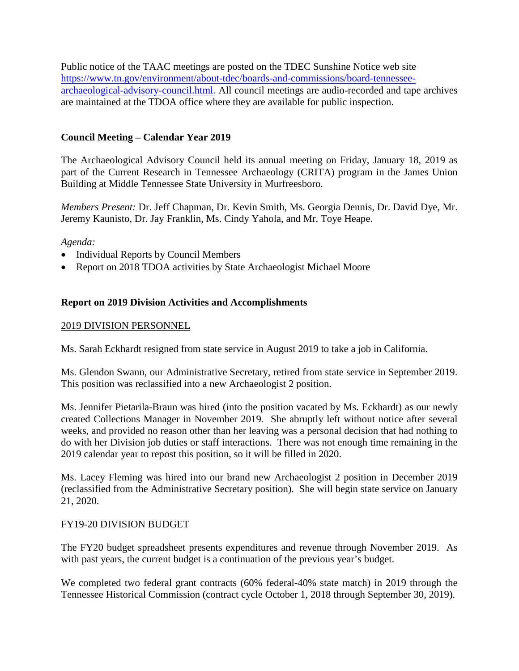Public notice of the TAAC meetings are posted on the TDEC Sunshine Notice web site [https://www.tn.gov/environment/about-tdec/boards-and-commissions/board-tennessee](https://www.tn.gov/environment/about-tdec/boards-and-commissions/board-tennessee-archaeological-advisory-council.html)[archaeological-advisory-council.html.](https://www.tn.gov/environment/about-tdec/boards-and-commissions/board-tennessee-archaeological-advisory-council.html) All council meetings are audio-recorded and tape archives are maintained at the TDOA office where they are available for public inspection.

## **Council Meeting – Calendar Year 2019**

The Archaeological Advisory Council held its annual meeting on Friday, January 18, 2019 as part of the Current Research in Tennessee Archaeology (CRITA) program in the James Union Building at Middle Tennessee State University in Murfreesboro.

*Members Present:* Dr. Jeff Chapman, Dr. Kevin Smith, Ms. Georgia Dennis, Dr. David Dye, Mr. Jeremy Kaunisto, Dr. Jay Franklin, Ms. Cindy Yahola, and Mr. Toye Heape.

#### *Agenda:*

- Individual Reports by Council Members
- Report on 2018 TDOA activities by State Archaeologist Michael Moore

### **Report on 2019 Division Activities and Accomplishments**

#### 2019 DIVISION PERSONNEL

Ms. Sarah Eckhardt resigned from state service in August 2019 to take a job in California.

Ms. Glendon Swann, our Administrative Secretary, retired from state service in September 2019. This position was reclassified into a new Archaeologist 2 position.

Ms. Jennifer Pietarila-Braun was hired (into the position vacated by Ms. Eckhardt) as our newly created Collections Manager in November 2019. She abruptly left without notice after several weeks, and provided no reason other than her leaving was a personal decision that had nothing to do with her Division job duties or staff interactions. There was not enough time remaining in the 2019 calendar year to repost this position, so it will be filled in 2020.

Ms. Lacey Fleming was hired into our brand new Archaeologist 2 position in December 2019 (reclassified from the Administrative Secretary position). She will begin state service on January 21, 2020.

### FY19-20 DIVISION BUDGET

The FY20 budget spreadsheet presents expenditures and revenue through November 2019. As with past years, the current budget is a continuation of the previous year's budget.

We completed two federal grant contracts (60% federal-40% state match) in 2019 through the Tennessee Historical Commission (contract cycle October 1, 2018 through September 30, 2019).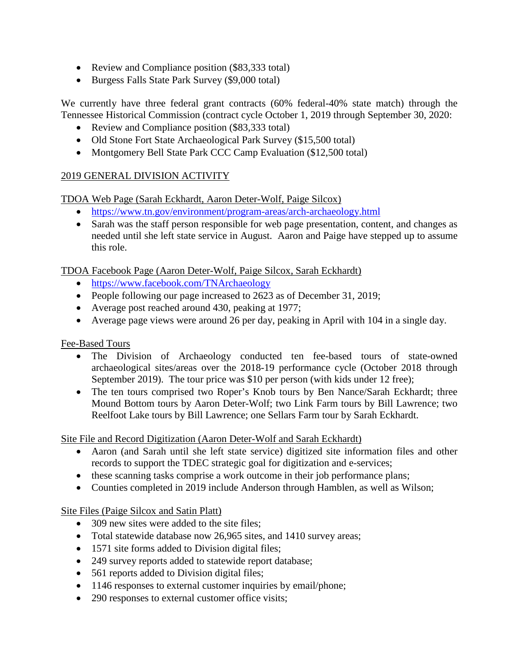- Review and Compliance position (\$83,333 total)
- Burgess Falls State Park Survey (\$9,000 total)

We currently have three federal grant contracts (60% federal-40% state match) through the Tennessee Historical Commission (contract cycle October 1, 2019 through September 30, 2020:

- Review and Compliance position (\$83,333 total)
- Old Stone Fort State Archaeological Park Survey (\$15,500 total)
- Montgomery Bell State Park CCC Camp Evaluation (\$12,500 total)

## 2019 GENERAL DIVISION ACTIVITY

TDOA Web Page (Sarah Eckhardt, Aaron Deter-Wolf, Paige Silcox)

- <https://www.tn.gov/environment/program-areas/arch-archaeology.html>
- Sarah was the staff person responsible for web page presentation, content, and changes as needed until she left state service in August. Aaron and Paige have stepped up to assume this role.

TDOA Facebook Page (Aaron Deter-Wolf, Paige Silcox, Sarah Eckhardt)

- <https://www.facebook.com/TNArchaeology>
- People following our page increased to 2623 as of December 31, 2019;
- Average post reached around 430, peaking at 1977;
- Average page views were around 26 per day, peaking in April with 104 in a single day.

Fee-Based Tours

- The Division of Archaeology conducted ten fee-based tours of state-owned archaeological sites/areas over the 2018-19 performance cycle (October 2018 through September 2019). The tour price was \$10 per person (with kids under 12 free);
- The ten tours comprised two Roper's Knob tours by Ben Nance/Sarah Eckhardt; three Mound Bottom tours by Aaron Deter-Wolf; two Link Farm tours by Bill Lawrence; two Reelfoot Lake tours by Bill Lawrence; one Sellars Farm tour by Sarah Eckhardt.

Site File and Record Digitization (Aaron Deter-Wolf and Sarah Eckhardt)

- Aaron (and Sarah until she left state service) digitized site information files and other records to support the TDEC strategic goal for digitization and e-services;
- these scanning tasks comprise a work outcome in their job performance plans;
- Counties completed in 2019 include Anderson through Hamblen, as well as Wilson;

Site Files (Paige Silcox and Satin Platt)

- 309 new sites were added to the site files:
- Total statewide database now 26,965 sites, and 1410 survey areas;
- 1571 site forms added to Division digital files;
- 249 survey reports added to statewide report database;
- 561 reports added to Division digital files;
- 1146 responses to external customer inquiries by email/phone;
- 290 responses to external customer office visits;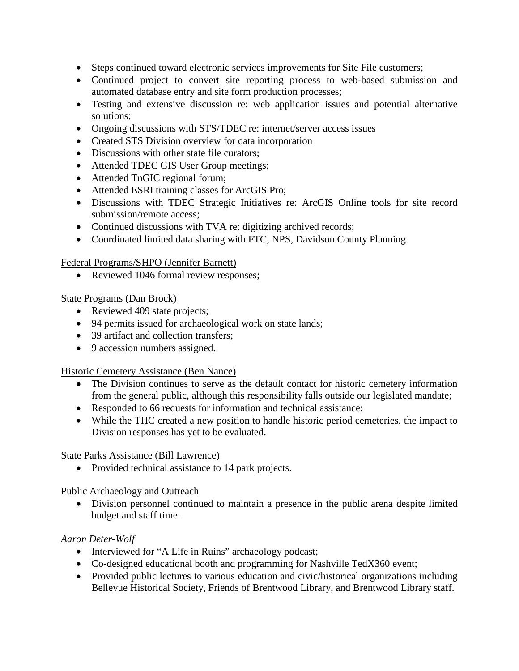- Steps continued toward electronic services improvements for Site File customers;
- Continued project to convert site reporting process to web-based submission and automated database entry and site form production processes;
- Testing and extensive discussion re: web application issues and potential alternative solutions;
- Ongoing discussions with STS/TDEC re: internet/server access issues
- Created STS Division overview for data incorporation
- Discussions with other state file curators;
- Attended TDEC GIS User Group meetings;
- Attended TnGIC regional forum;
- Attended ESRI training classes for ArcGIS Pro;
- Discussions with TDEC Strategic Initiatives re: ArcGIS Online tools for site record submission/remote access;
- Continued discussions with TVA re: digitizing archived records;
- Coordinated limited data sharing with FTC, NPS, Davidson County Planning.

### Federal Programs/SHPO (Jennifer Barnett)

• Reviewed 1046 formal review responses;

### State Programs (Dan Brock)

- Reviewed 409 state projects;
- 94 permits issued for archaeological work on state lands;
- 39 artifact and collection transfers;
- 9 accession numbers assigned.

### Historic Cemetery Assistance (Ben Nance)

- The Division continues to serve as the default contact for historic cemetery information from the general public, although this responsibility falls outside our legislated mandate;
- Responded to 66 requests for information and technical assistance;
- While the THC created a new position to handle historic period cemeteries, the impact to Division responses has yet to be evaluated.

### State Parks Assistance (Bill Lawrence)

• Provided technical assistance to 14 park projects.

### Public Archaeology and Outreach

• Division personnel continued to maintain a presence in the public arena despite limited budget and staff time.

# *Aaron Deter-Wolf*

- Interviewed for "A Life in Ruins" archaeology podcast;
- Co-designed educational booth and programming for Nashville TedX360 event;
- Provided public lectures to various education and civic/historical organizations including Bellevue Historical Society, Friends of Brentwood Library, and Brentwood Library staff.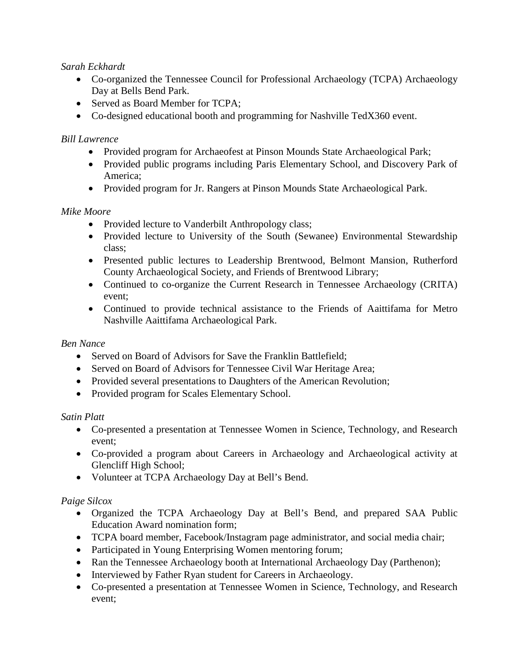### *Sarah Eckhardt*

- Co-organized the Tennessee Council for Professional Archaeology (TCPA) Archaeology Day at Bells Bend Park.
- Served as Board Member for TCPA;
- Co-designed educational booth and programming for Nashville TedX360 event.

#### *Bill Lawrence*

- Provided program for Archaeofest at Pinson Mounds State Archaeological Park;
- Provided public programs including Paris Elementary School, and Discovery Park of America;
- Provided program for Jr. Rangers at Pinson Mounds State Archaeological Park.

#### *Mike Moore*

- Provided lecture to Vanderbilt Anthropology class;
- Provided lecture to University of the South (Sewanee) Environmental Stewardship class;
- Presented public lectures to Leadership Brentwood, Belmont Mansion, Rutherford County Archaeological Society, and Friends of Brentwood Library;
- Continued to co-organize the Current Research in Tennessee Archaeology (CRITA) event;
- Continued to provide technical assistance to the Friends of Aaittifama for Metro Nashville Aaittifama Archaeological Park.

### *Ben Nance*

- Served on Board of Advisors for Save the Franklin Battlefield:
- Served on Board of Advisors for Tennessee Civil War Heritage Area;
- Provided several presentations to Daughters of the American Revolution;
- Provided program for Scales Elementary School.

#### *Satin Platt*

- Co-presented a presentation at Tennessee Women in Science, Technology, and Research event;
- Co-provided a program about Careers in Archaeology and Archaeological activity at Glencliff High School;
- Volunteer at TCPA Archaeology Day at Bell's Bend.

### *Paige Silcox*

- Organized the TCPA Archaeology Day at Bell's Bend, and prepared SAA Public Education Award nomination form;
- TCPA board member, Facebook/Instagram page administrator, and social media chair;
- Participated in Young Enterprising Women mentoring forum;
- Ran the Tennessee Archaeology booth at International Archaeology Day (Parthenon);
- Interviewed by Father Ryan student for Careers in Archaeology.
- Co-presented a presentation at Tennessee Women in Science, Technology, and Research event;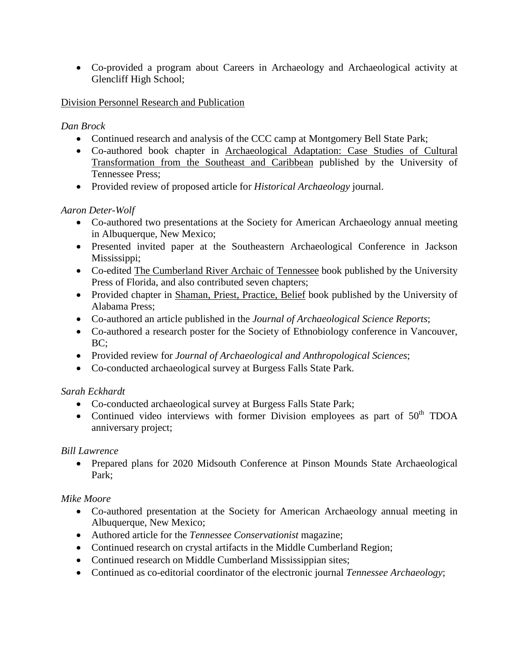• Co-provided a program about Careers in Archaeology and Archaeological activity at Glencliff High School;

## Division Personnel Research and Publication

## *Dan Brock*

- Continued research and analysis of the CCC camp at Montgomery Bell State Park;
- Co-authored book chapter in Archaeological Adaptation: Case Studies of Cultural Transformation from the Southeast and Caribbean published by the University of Tennessee Press;
- Provided review of proposed article for *Historical Archaeology* journal.

## *Aaron Deter-Wolf*

- Co-authored two presentations at the Society for American Archaeology annual meeting in Albuquerque, New Mexico;
- Presented invited paper at the Southeastern Archaeological Conference in Jackson Mississippi;
- Co-edited The Cumberland River Archaic of Tennessee book published by the University Press of Florida, and also contributed seven chapters;
- Provided chapter in Shaman, Priest, Practice, Belief book published by the University of Alabama Press;
- Co-authored an article published in the *Journal of Archaeological Science Reports*;
- Co-authored a research poster for the Society of Ethnobiology conference in Vancouver, BC;
- Provided review for *Journal of Archaeological and Anthropological Sciences*;
- Co-conducted archaeological survey at Burgess Falls State Park.

### *Sarah Eckhardt*

- Co-conducted archaeological survey at Burgess Falls State Park;
- Continued video interviews with former Division employees as part of  $50<sup>th</sup> TDOA$ anniversary project;

### *Bill Lawrence*

• Prepared plans for 2020 Midsouth Conference at Pinson Mounds State Archaeological Park;

# *Mike Moore*

- Co-authored presentation at the Society for American Archaeology annual meeting in Albuquerque, New Mexico;
- Authored article for the *Tennessee Conservationist* magazine;
- Continued research on crystal artifacts in the Middle Cumberland Region;
- Continued research on Middle Cumberland Mississippian sites;
- Continued as co-editorial coordinator of the electronic journal *Tennessee Archaeology*;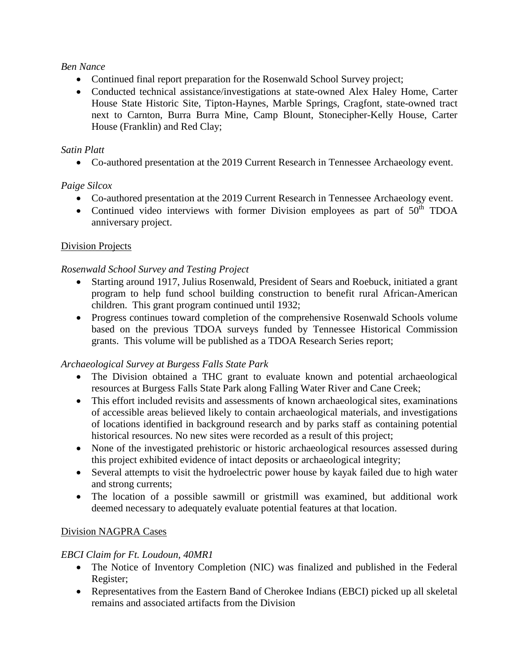#### *Ben Nance*

- Continued final report preparation for the Rosenwald School Survey project;
- Conducted technical assistance/investigations at state-owned Alex Haley Home, Carter House State Historic Site, Tipton-Haynes, Marble Springs, Cragfont, state-owned tract next to Carnton, Burra Burra Mine, Camp Blount, Stonecipher-Kelly House, Carter House (Franklin) and Red Clay;

#### *Satin Platt*

• Co-authored presentation at the 2019 Current Research in Tennessee Archaeology event.

### *Paige Silcox*

- Co-authored presentation at the 2019 Current Research in Tennessee Archaeology event.
- Continued video interviews with former Division employees as part of  $50<sup>th</sup>$  TDOA anniversary project.

### Division Projects

### *Rosenwald School Survey and Testing Project*

- Starting around 1917, Julius Rosenwald, President of Sears and Roebuck, initiated a grant program to help fund school building construction to benefit rural African-American children. This grant program continued until 1932;
- Progress continues toward completion of the comprehensive Rosenwald Schools volume based on the previous TDOA surveys funded by Tennessee Historical Commission grants. This volume will be published as a TDOA Research Series report;

### *Archaeological Survey at Burgess Falls State Park*

- The Division obtained a THC grant to evaluate known and potential archaeological resources at Burgess Falls State Park along Falling Water River and Cane Creek;
- This effort included revisits and assessments of known archaeological sites, examinations of accessible areas believed likely to contain archaeological materials, and investigations of locations identified in background research and by parks staff as containing potential historical resources. No new sites were recorded as a result of this project;
- None of the investigated prehistoric or historic archaeological resources assessed during this project exhibited evidence of intact deposits or archaeological integrity;
- Several attempts to visit the hydroelectric power house by kayak failed due to high water and strong currents;
- The location of a possible sawmill or gristmill was examined, but additional work deemed necessary to adequately evaluate potential features at that location.

### Division NAGPRA Cases

### *EBCI Claim for Ft. Loudoun, 40MR1*

- The Notice of Inventory Completion (NIC) was finalized and published in the Federal Register;
- Representatives from the Eastern Band of Cherokee Indians (EBCI) picked up all skeletal remains and associated artifacts from the Division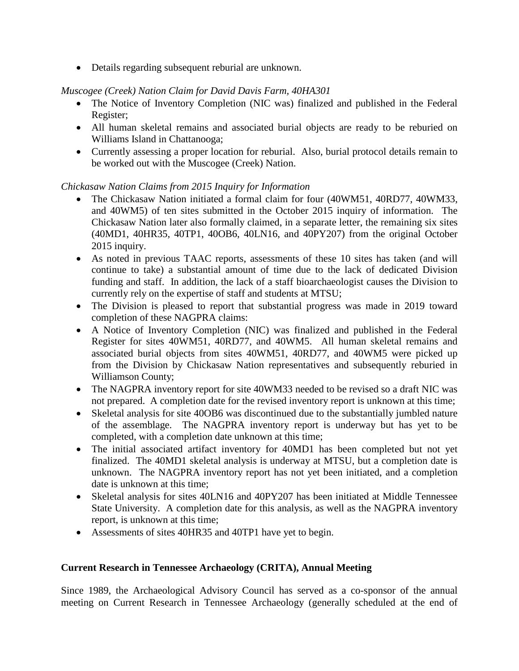• Details regarding subsequent reburial are unknown.

## *Muscogee (Creek) Nation Claim for David Davis Farm, 40HA301*

- The Notice of Inventory Completion (NIC was) finalized and published in the Federal Register;
- All human skeletal remains and associated burial objects are ready to be reburied on Williams Island in Chattanooga;
- Currently assessing a proper location for reburial. Also, burial protocol details remain to be worked out with the Muscogee (Creek) Nation.

## *Chickasaw Nation Claims from 2015 Inquiry for Information*

- The Chickasaw Nation initiated a formal claim for four (40WM51, 40RD77, 40WM33, and 40WM5) of ten sites submitted in the October 2015 inquiry of information. The Chickasaw Nation later also formally claimed, in a separate letter, the remaining six sites (40MD1, 40HR35, 40TP1, 40OB6, 40LN16, and 40PY207) from the original October 2015 inquiry.
- As noted in previous TAAC reports, assessments of these 10 sites has taken (and will continue to take) a substantial amount of time due to the lack of dedicated Division funding and staff. In addition, the lack of a staff bioarchaeologist causes the Division to currently rely on the expertise of staff and students at MTSU;
- The Division is pleased to report that substantial progress was made in 2019 toward completion of these NAGPRA claims:
- A Notice of Inventory Completion (NIC) was finalized and published in the Federal Register for sites 40WM51, 40RD77, and 40WM5. All human skeletal remains and associated burial objects from sites 40WM51, 40RD77, and 40WM5 were picked up from the Division by Chickasaw Nation representatives and subsequently reburied in Williamson County;
- The NAGPRA inventory report for site 40WM33 needed to be revised so a draft NIC was not prepared. A completion date for the revised inventory report is unknown at this time;
- Skeletal analysis for site 40OB6 was discontinued due to the substantially jumbled nature of the assemblage. The NAGPRA inventory report is underway but has yet to be completed, with a completion date unknown at this time;
- The initial associated artifact inventory for 40MD1 has been completed but not yet finalized. The 40MD1 skeletal analysis is underway at MTSU, but a completion date is unknown. The NAGPRA inventory report has not yet been initiated, and a completion date is unknown at this time;
- Skeletal analysis for sites 40LN16 and 40PY207 has been initiated at Middle Tennessee State University. A completion date for this analysis, as well as the NAGPRA inventory report, is unknown at this time;
- Assessments of sites 40HR35 and 40TP1 have yet to begin.

### **Current Research in Tennessee Archaeology (CRITA), Annual Meeting**

Since 1989, the Archaeological Advisory Council has served as a co-sponsor of the annual meeting on Current Research in Tennessee Archaeology (generally scheduled at the end of